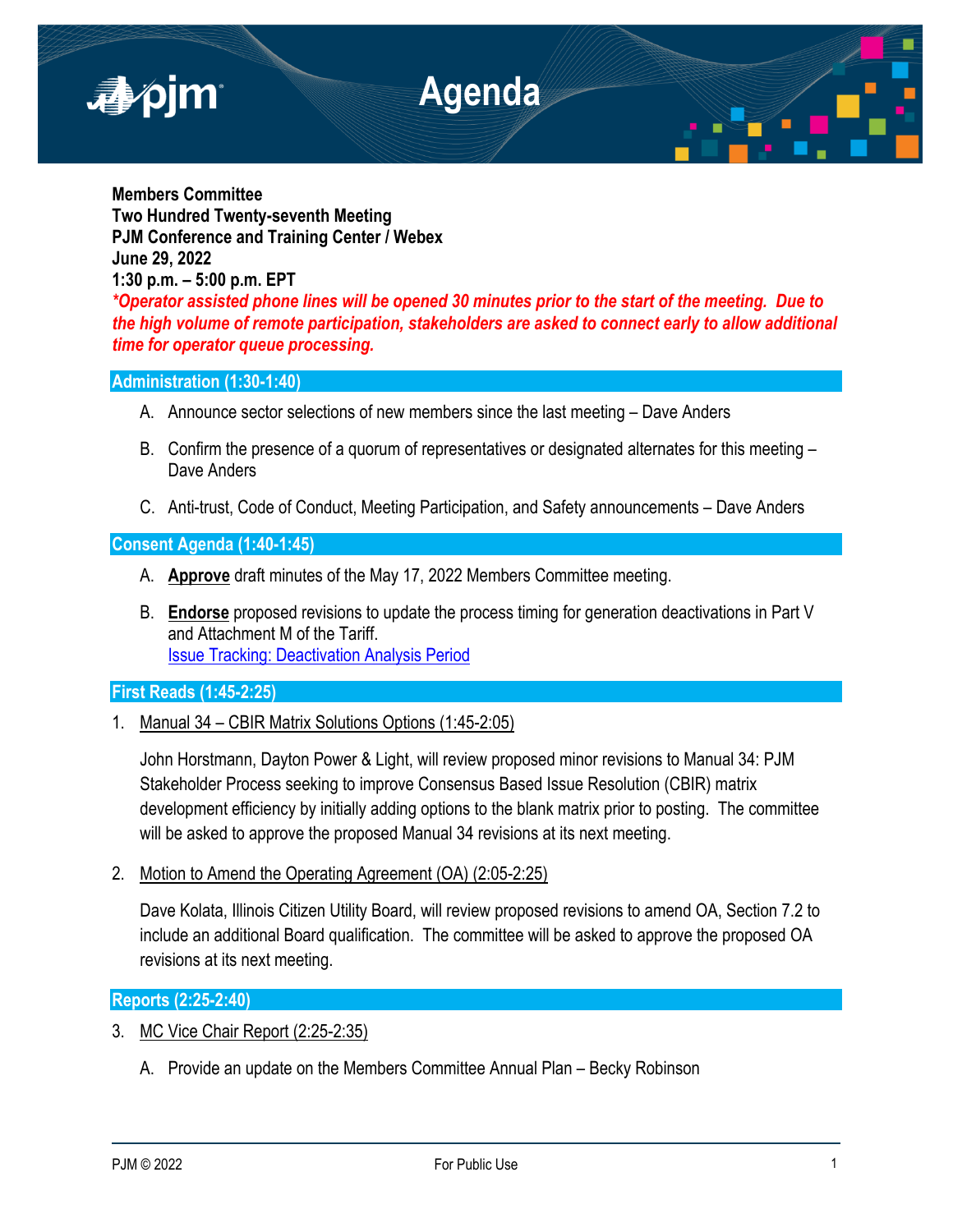

**Members Committee Two Hundred Twenty-seventh Meeting PJM Conference and Training Center / Webex June 29, 2022 1:30 p.m. – 5:00 p.m. EPT** *\*Operator assisted phone lines will be opened 30 minutes prior to the start of the meeting. Due to the high volume of remote participation, stakeholders are asked to connect early to allow additional time for operator queue processing.* 

# **Administration (1:30-1:40)**

- A. Announce sector selections of new members since the last meeting Dave Anders
- B. Confirm the presence of a quorum of representatives or designated alternates for this meeting Dave Anders
- C. Anti-trust, Code of Conduct, Meeting Participation, and Safety announcements Dave Anders

### **Consent Agenda (1:40-1:45)**

- A. **Approve** draft minutes of the May 17, 2022 Members Committee meeting.
- B. **Endorse** proposed revisions to update the process timing for generation deactivations in Part V and Attachment M of the Tariff. [Issue Tracking: Deactivation Analysis Period](https://www.pjm.com/committees-and-groups/issue-tracking/issue-tracking-details.aspx?Issue=ce96c0de-ffc6-4415-b836-d1bada79099f)

## **First Reads (1:45-2:25)**

1. Manual 34 – CBIR Matrix Solutions Options (1:45-2:05)

John Horstmann, Dayton Power & Light, will review proposed minor revisions to Manual 34: PJM Stakeholder Process seeking to improve Consensus Based Issue Resolution (CBIR) matrix development efficiency by initially adding options to the blank matrix prior to posting. The committee will be asked to approve the proposed Manual 34 revisions at its next meeting.

2. Motion to Amend the Operating Agreement (OA) (2:05-2:25)

Dave Kolata, Illinois Citizen Utility Board, will review proposed revisions to amend OA, Section 7.2 to include an additional Board qualification. The committee will be asked to approve the proposed OA revisions at its next meeting.

## **Reports (2:25-2:40)**

- 3. MC Vice Chair Report (2:25-2:35)
	- A. Provide an update on the Members Committee Annual Plan Becky Robinson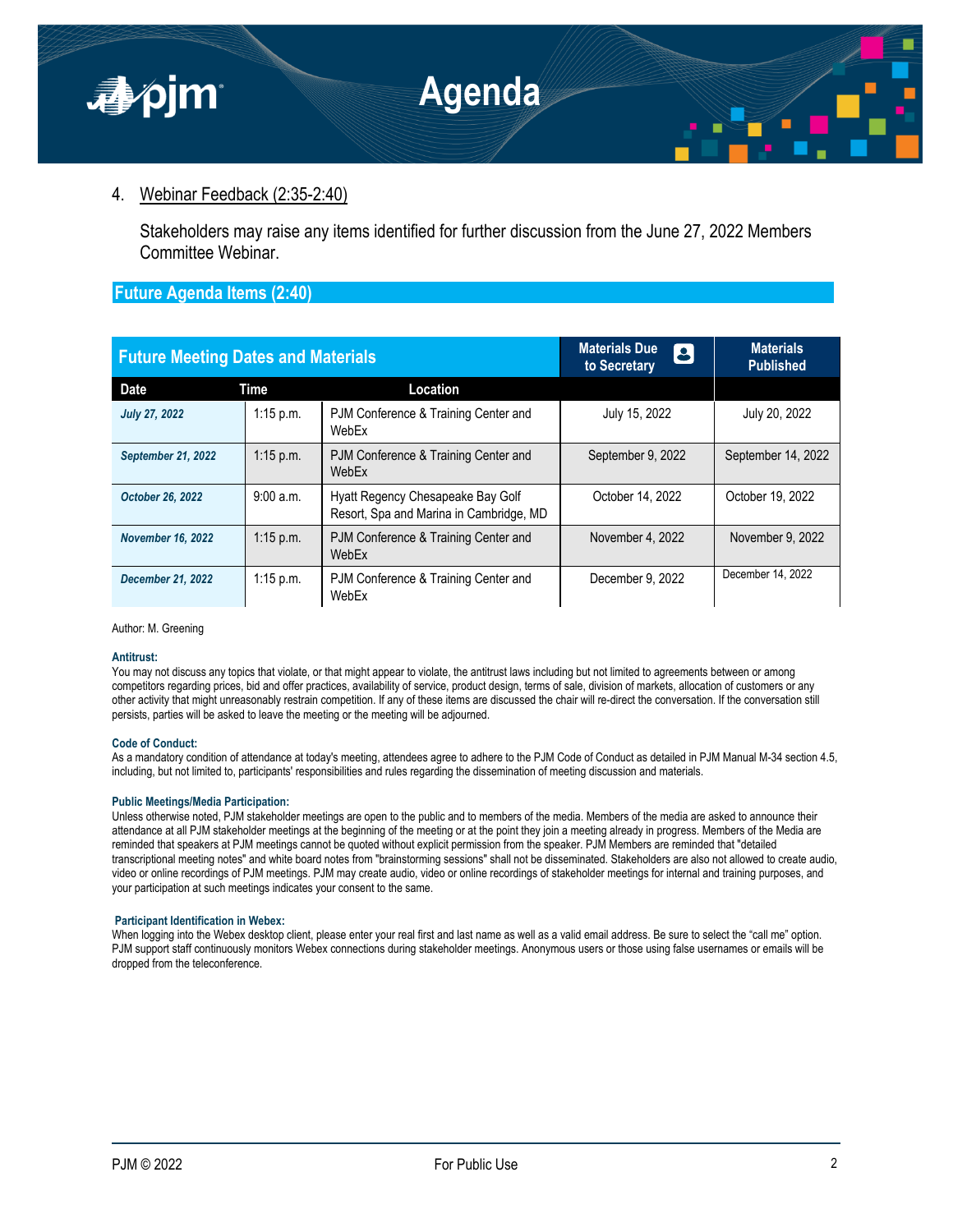

# 4. Webinar Feedback (2:35-2:40)

Stakeholders may raise any items identified for further discussion from the June 27, 2022 Members Committee Webinar.

## **Future Agenda Items (2:40)**

| <b>Future Meeting Dates and Materials</b> |             |                                                                              | <b>Materials Due</b><br>8<br>to Secretary | <b>Materials</b><br><b>Published</b> |
|-------------------------------------------|-------------|------------------------------------------------------------------------------|-------------------------------------------|--------------------------------------|
| <b>Date</b>                               | <b>Time</b> | Location                                                                     |                                           |                                      |
| <b>July 27, 2022</b>                      | $1:15$ p.m. | PJM Conference & Training Center and<br>WebEx                                | July 15, 2022                             | July 20, 2022                        |
| <b>September 21, 2022</b>                 | $1:15$ p.m. | PJM Conference & Training Center and<br>WebEx                                | September 9, 2022                         | September 14, 2022                   |
| October 26, 2022                          | 9:00 a.m.   | Hyatt Regency Chesapeake Bay Golf<br>Resort, Spa and Marina in Cambridge, MD | October 14, 2022                          | October 19, 2022                     |
| <b>November 16, 2022</b>                  | $1:15$ p.m. | PJM Conference & Training Center and<br>WebEx                                | November 4, 2022                          | November 9, 2022                     |
| <b>December 21, 2022</b>                  | $1:15$ p.m. | PJM Conference & Training Center and<br>WebEx                                | December 9, 2022                          | December 14, 2022                    |

Author: M. Greening

#### **Antitrust:**

You may not discuss any topics that violate, or that might appear to violate, the antitrust laws including but not limited to agreements between or among competitors regarding prices, bid and offer practices, availability of service, product design, terms of sale, division of markets, allocation of customers or any other activity that might unreasonably restrain competition. If any of these items are discussed the chair will re-direct the conversation. If the conversation still persists, parties will be asked to leave the meeting or the meeting will be adjourned.

#### **Code of Conduct:**

As a mandatory condition of attendance at today's meeting, attendees agree to adhere to the PJM Code of Conduct as detailed in PJM Manual M-34 section 4.5, including, but not limited to, participants' responsibilities and rules regarding the dissemination of meeting discussion and materials.

#### **Public Meetings/Media Participation:**

Unless otherwise noted, PJM stakeholder meetings are open to the public and to members of the media. Members of the media are asked to announce their attendance at all PJM stakeholder meetings at the beginning of the meeting or at the point they join a meeting already in progress. Members of the Media are reminded that speakers at PJM meetings cannot be quoted without explicit permission from the speaker. PJM Members are reminded that "detailed transcriptional meeting notes" and white board notes from "brainstorming sessions" shall not be disseminated. Stakeholders are also not allowed to create audio, video or online recordings of PJM meetings. PJM may create audio, video or online recordings of stakeholder meetings for internal and training purposes, and your participation at such meetings indicates your consent to the same.

#### **Participant Identification in Webex:**

When logging into the Webex desktop client, please enter your real first and last name as well as a valid email address. Be sure to select the "call me" option. PJM support staff continuously monitors Webex connections during stakeholder meetings. Anonymous users or those using false usernames or emails will be dropped from the teleconference.